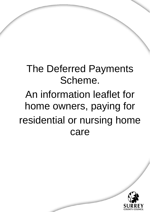# The Deferred Payments Scheme. An information leaflet for home owners, paying for residential or nursing home care

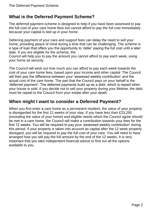# **What is the Deferred Payment Scheme?**

The deferred payment scheme is designed to help if you have been assessed to pay the full cost of your care home fees but cannot afford to pay the full cost immediately because your capital is tied up in your home.

Deferring payment of your care and support fees can delay the need to sell your home; providing peace of mind during a time that can be challenging. The scheme is a type of loan that offers you the opportunity to 'defer' paying the full cost until a later date. If you are eligible for the scheme, the

Council will help you to pay the amount you cannot afford to pay each week, using your home as security.

The Council will work out how much you can afford to pay each week towards the cost of your care home fees, based upon your income and other capital. The Council will then pay the difference between your 'assessed weekly contribution' and the actual cost of the care home. The part that the Council pays on your behalf is the 'deferred payment'. The deferred payments build up as a debt, which is repaid when your house is sold. If you decide not to sell your property during your lifetime, the debt must be repaid to the Council from your estate after your death.

# **When might I want to consider a Deferred Payment?**

When you first enter a care home as a permanent resident, the value of your property is disregarded for the first 12 weeks of your stay. If you have less than £23,250 (excluding the value of your home) and eligible needs which the Council agree should be met in a care home, the Council will make a contribution towards your fees for the first 12 weeks. You will be required to pay your 'assessed weekly contribution' during this period. If your property is taken into account as capital after the 12 week property disregard, you will be required to pay the full cost of your care. You will need to have arranged how you will pay the full amount by the end of the 12 weeks. It is very important that you take independent financial advice to find out all the options available to you.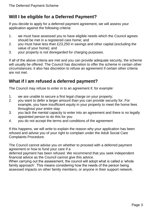# **Will I be eligible for a Deferred Payment?**

If you decide to apply for a deferred payment agreement, we will assess your application against the following criteria:

- 1. we must have assessed you to have eligible needs which the Council agrees should be met in a registered care home; and
- 2. you must have less than £23,250 in savings and other capital (excluding the value of your home); and
- 3. your property is not disregarded for charging purposes.

If all of the above criteria are met and you can provide adequate security, the scheme will usually be offered. The Council has discretion to offer the scheme in certain other circumstances; it also has discretion to refuse an agreement if certain other criteria are not met.

# **What if I am refused a deferred payment?**

The Council may refuse to enter in to an agreement if, for example:

- 1. we are unable to secure a first legal charge on your property;
- 2. you want to defer a larger amount than you can provide security for. For example, you have insufficient equity in your property to meet the home fees throughout your entire stay
- 3. you lack the mental capacity to enter into an agreement and there is no legally appointed person to do this for you
- 4. you do not accept the terms and conditions of the agreement

If this happens, we will write to explain the reason why your application has been refused and advise you of your right to complain under the Adult Social Care Complaints Procedure.

The Council cannot advise you on whether to proceed with a deferred payment agreement or how to fund your care if a

deferred payment has been refused. We recommend that you seek independent financial advice as the Council cannot give this advice.

When carrying out the assessment, the council will adopt what is called a 'whole family approach'. This means considering how the needs of the person being assessed impacts on other family members, or anyone in their support network.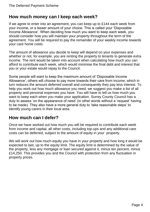## **How much money can I keep each week?**

If we agree to enter into an agreement, you can keep up to £144 each week from your income, or a lesser amount of your choice. This is called your 'Disposable Income Allowance'. When deciding how much you want to keep each week, you should consider how you will maintain your property throughout the term of the agreement. You will be required to pay the remainder of your weekly income towards your care home costs.

The amount of allowance you decide to keep will depend on your expenses and whether or not, for example, you are renting the property to tenants to generate extra income. The rent would be taken into account when calculating how much you can afford to contribute each week, which would minimise the final debt and interest that you or your estate would repay to the Council.

Some people will want to keep the maximum amount of 'Disposable Income Allowance'; others will choose to pay more towards their care from income, which in turn reduces the amount deferred overall and consequently they pay less interest. To help you work out how much allowance you need, we suggest you make a list of all property and personal expenses you have. You will have to tell us how much you want to keep each when you make your application. Surrey County Council has a duty to assess 'on the appearance of need' (in other words without a 'request' having to be made). They also have a more general duty to 'take reasonable steps' to identify young carers in their local area.

## **How much can I defer?**

Once we have worked out how much you will be required to contribute each week from income and capital, all other costs, including top-ups and any additional care costs can be deferred, subject to the amount of equity in your property.

We will work out how much equity you have in your property and how long it would be expected to last, up to the equity limit. The equity limit is determined by the value of the property, less any mortgage or loan secured against it, minus ten percent, minus £14,250. This provides you and the Council with protection from any fluctuation in property prices.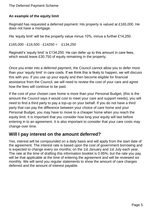#### The Deferred Payment Scheme

#### **An example of the equity limit**

Reginald has requested a deferred payment. His property is valued at £165,000. He does not have a mortgage.

His 'equity limit' will be the property value minus 10%, minus a further £14,250.

 $£165,000 - £16,500 - £14250 = £134,250$ 

Reginald's 'equity limit' is £134,250. He can defer up to this amount in care fees, which would leave £30,750 of equity remaining in the property.

Once you enter into a deferred payment, the Council cannot allow you to defer more than your 'equity limit' in care costs. If we think this is likely to happen, we will discuss this with you. If you use up your equity and then become eligible for financial assistance from the Council, we will need to review the cost of your care and agree how the fees will continue to be paid.

If the cost of your chosen care home is more than your Personal Budget, (this is the amount the Council says it would cost to meet your care and support needs), you will need to find a third party to pay a top-up on your behalf. If you do not have a third party that can pay the difference between your choice of care home and your Personal Budget, you may have to move to a cheaper home when you reach the equity limit. It is important that you consider how long your equity will last before entering in to an agreement. It is also important to consider that your care costs may change over time.

## **Will I pay interest on the amount deferred?**

Yes, interest will be compounded on a daily basis and will apply from the start date of the agreement. The interest rate is based upon the cost of government borrowing and is expected to change every six months; on the 1st January and 1st July each year. The rate at the time of drafting this information booklet is 0.95%, but the rate you pay will be that applicable at the time of entering the agreement and will be reviewed six monthly. We will send you regular statements to show the amount of care charges deferred and the amount of interest payable.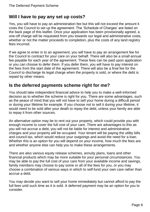## **Will I have to pay any set up costs?**

Yes, you will have to pay an administration fee but this will not exceed the amount it costs the Council to set up the agreement. The 'Schedule of Charges' are listed on the back page of this leaflet. Once your application has been provisionally agreed, a one-off charge will be requested from you towards our legal and administrative costs, whether or not the matter proceeds to completion, plus the costs of any land registry fees incurred.

If we agree to enter in to an agreement, you will have to pay an arrangement fee for the Council to contract for your care on your behalf. There will also be a small annual fee payable for each year of the agreement. These fees can be paid upon application or you can choose to defer them. If you defer them, you will have to pay interest on the fees from the start date of the agreement. There will also be a final fee for the Council to discharge its legal charge when the property is sold, or where the debt is repaid by other means.

### **Is the deferred payments scheme right for me?**

You should take independent financial advice to help you to make a well-informed decision as to whether the scheme is right for you. There are some advantages, such as the peace of mind that you will not have to sell your home during a difficult period or during your lifetime for example. If you choose not to sell it during your lifetime, it would need to be sold after your death to repay the debt, unless your family are able to repay it from other sources.

An alternative option may be to rent out your property, which could provide you with enough income to cover the full cost of your care. There are advantages to this as you will not accrue a debt, you will not be liable for interest and administrative charges and your property will be occupied. Your tenant will be paying the utility bills and council tax, which would reduce your outgoings and avoid the need for a loan. Whether this is an option for you will depend on your income, how much the fees are and whether anyone else can help you to make these arrangements.

There are also various equity release schemes, annuity plans, loans and other financial products which may be more suitable for your personal circumstances. You may be able to pay the full cost of your care from your available income and savings, family members may choose to pay some or all of the fees for you, or you may choose a combination of various ways in which to self-fund your own care rather than accrue a debt.

You may decide you want to sell your home immediately but cannot afford to pay the full fees until such time as it is sold. A deferred payment may be an option for you to consider.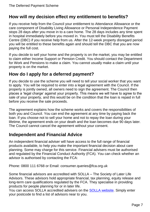# **How will my decision effect my entitlement to benefits?**

If you receive help from the Council your entitlement to Attendance Allowance or the care component of Disability Living Allowance or Personal Independence Payment stops 28 days after you move in to a care home. The 28 days includes any time spent in hospital immediately before you moved in. You must tell the Disability Benefits Centre (DBC) if you receive help from us. After the 12-week property disregard period you will be entitled to these benefits again and should tell the DBC that you are now paying the full cost.

If you decide to sell your home and the property is on the market, you may be entitled to claim either Income Support or Pension Credit. You should contact the Department for Work and Pensions to make a claim. You cannot usually make a claim until your property is on the market.

# **How do I apply for a deferred payment?**

If you decide to use the scheme you will need to tell your social worker that you want to apply. You will be required to enter into a legal agreement with the Council. If the property is jointly owned, all owners need to sign the agreement. The Council then places a 'legal charge' against your property. This means we will have to agree to the sale of your property, and this would be on the condition that the loan is repaid in full before you receive the sale proceeds.

The agreement explains how the scheme works and covers the responsibilities of both you and Council. You can end the agreement at any time by paying back the loan. If you choose not to sell your home and not to repay the loan during your lifetime, the agreement ends on your death and the loan becomes due 90 days later. The Council cannot cancel the agreement without your consent.

# **Independent and Financial Advice**

An independent financial adviser will have access to the full range of financial products available, to help you make the important financial decision about care planning. Some may charge for this service. Financial advisers must be authorised and regulated by the Financial Conduct Authority (FCA). You can check whether an advisor is authorised by contacting the FCA:

Phone: 0800 111 6768 or Email: consumer.queries@fca.org.uk

Some financial advisors are accredited with SOLLA – The Society of Later Life Advisors. These advisors hold appropriate financial, tax planning, equity release and long-term care qualifications regulated by the FCA. They specialise in providing products for people planning for or in later life.

You can access SOLLA accredited advisers on the SOLLA [website.](http://www.societyoflaterlifeadvisers.co.uk/) Simply enter your postcode to find a list of advisors near to you.